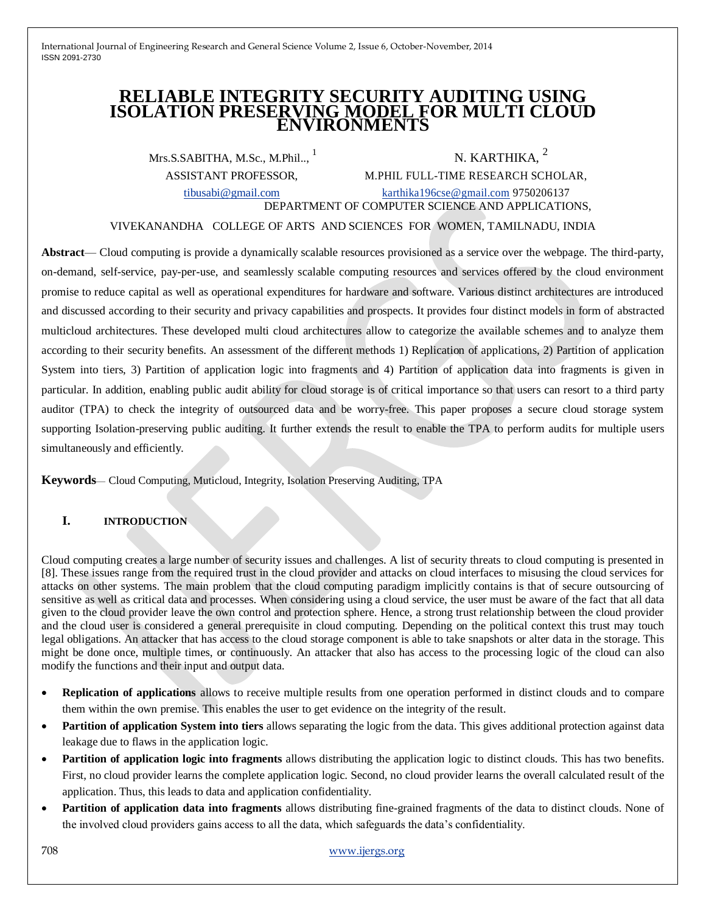# **RELIABLE INTEGRITY SECURITY AUDITING USING ISOLATION PRESERVING MODEL FOR MULTI CLOUD ENVIRONMENTS**

Mrs.S.SABITHA, M.Sc., M.Phil..,

N. KARTHIKA,  $2$ ASSISTANT PROFESSOR, M.PHIL FULL-TIME RESEARCH SCHOLAR,

[tibusabi@gmail.com](mailto:tibusabi@gmail.com) [karthika196cse@gmail.com](mailto:karthika196cse@gmail.com) 9750206137 DEPARTMENT OF COMPUTER SCIENCE AND APPLICATIONS,

VIVEKANANDHA COLLEGE OF ARTS AND SCIENCES FOR WOMEN, TAMILNADU, INDIA

**Abstract**— Cloud computing is provide a dynamically scalable resources provisioned as a service over the webpage. The third-party, on-demand, self-service, pay-per-use, and seamlessly scalable computing resources and services offered by the cloud environment promise to reduce capital as well as operational expenditures for hardware and software. Various distinct architectures are introduced and discussed according to their security and privacy capabilities and prospects. It provides four distinct models in form of abstracted multicloud architectures. These developed multi cloud architectures allow to categorize the available schemes and to analyze them according to their security benefits. An assessment of the different methods 1) Replication of applications, 2) Partition of application System into tiers, 3) Partition of application logic into fragments and 4) Partition of application data into fragments is given in particular. In addition, enabling public audit ability for cloud storage is of critical importance so that users can resort to a third party auditor (TPA) to check the integrity of outsourced data and be worry-free. This paper proposes a secure cloud storage system supporting Isolation-preserving public auditing. It further extends the result to enable the TPA to perform audits for multiple users simultaneously and efficiently.

**Keywords**— Cloud Computing, Muticloud, Integrity, Isolation Preserving Auditing, TPA

## **I. INTRODUCTION**

Cloud computing creates a large number of security issues and challenges. A list of security threats to cloud computing is presented in [8]. These issues range from the required trust in the cloud provider and attacks on cloud interfaces to misusing the cloud services for attacks on other systems. The main problem that the cloud computing paradigm implicitly contains is that of secure outsourcing of sensitive as well as critical data and processes. When considering using a cloud service, the user must be aware of the fact that all data given to the cloud provider leave the own control and protection sphere. Hence, a strong trust relationship between the cloud provider and the cloud user is considered a general prerequisite in cloud computing. Depending on the political context this trust may touch legal obligations. An attacker that has access to the cloud storage component is able to take snapshots or alter data in the storage. This might be done once, multiple times, or continuously. An attacker that also has access to the processing logic of the cloud can also modify the functions and their input and output data.

- **Replication of applications** allows to receive multiple results from one operation performed in distinct clouds and to compare them within the own premise. This enables the user to get evidence on the integrity of the result.
- **Partition of application System into tiers** allows separating the logic from the data. This gives additional protection against data leakage due to flaws in the application logic.
- **• Partition of application logic into fragments** allows distributing the application logic to distinct clouds. This has two benefits. First, no cloud provider learns the complete application logic. Second, no cloud provider learns the overall calculated result of the application. Thus, this leads to data and application confidentiality.
- **•** Partition of application data into fragments allows distributing fine-grained fragments of the data to distinct clouds. None of the involved cloud providers gains access to all the data, which safeguards the data's confidentiality.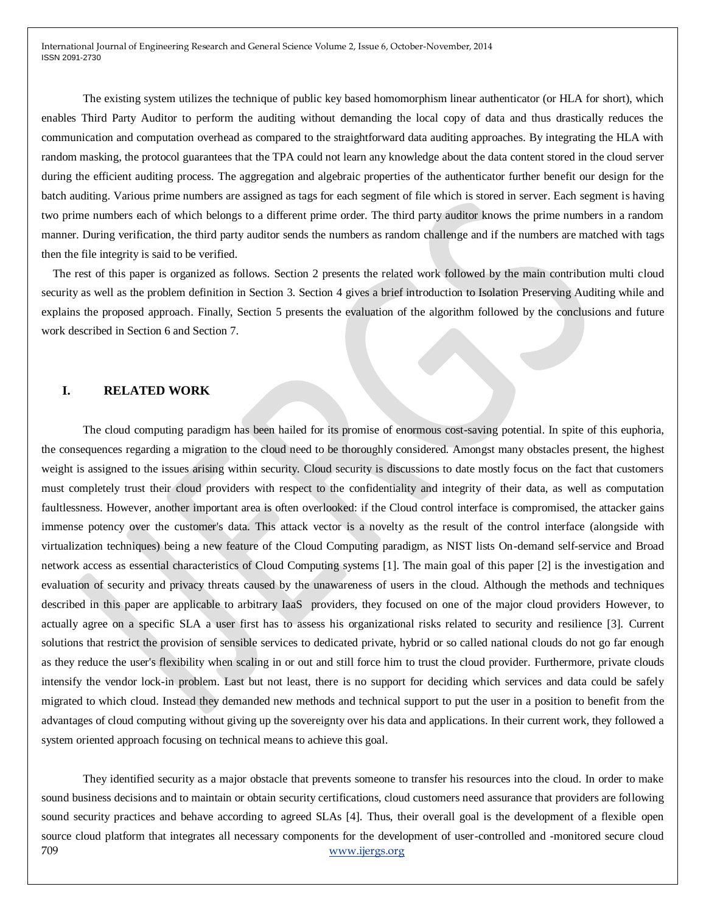The existing system utilizes the technique of public key based homomorphism linear authenticator (or HLA for short), which enables Third Party Auditor to perform the auditing without demanding the local copy of data and thus drastically reduces the communication and computation overhead as compared to the straightforward data auditing approaches. By integrating the HLA with random masking, the protocol guarantees that the TPA could not learn any knowledge about the data content stored in the cloud server during the efficient auditing process. The aggregation and algebraic properties of the authenticator further benefit our design for the batch auditing. Various prime numbers are assigned as tags for each segment of file which is stored in server. Each segment is having two prime numbers each of which belongs to a different prime order. The third party auditor knows the prime numbers in a random manner. During verification, the third party auditor sends the numbers as random challenge and if the numbers are matched with tags then the file integrity is said to be verified.

The rest of this paper is organized as follows. Section 2 presents the related work followed by the main contribution multi cloud security as well as the problem definition in Section 3. Section 4 gives a brief introduction to Isolation Preserving Auditing while and explains the proposed approach. Finally, Section 5 presents the evaluation of the algorithm followed by the conclusions and future work described in Section 6 and Section 7.

#### **I. RELATED WORK**

The cloud computing paradigm has been hailed for its promise of enormous cost-saving potential. In spite of this euphoria, the consequences regarding a migration to the cloud need to be thoroughly considered. Amongst many obstacles present, the highest weight is assigned to the issues arising within security. Cloud security is discussions to date mostly focus on the fact that customers must completely trust their cloud providers with respect to the confidentiality and integrity of their data, as well as computation faultlessness. However, another important area is often overlooked: if the Cloud control interface is compromised, the attacker gains immense potency over the customer's data. This attack vector is a novelty as the result of the control interface (alongside with virtualization techniques) being a new feature of the Cloud Computing paradigm, as NIST lists On-demand self-service and Broad network access as essential characteristics of Cloud Computing systems [1]. The main goal of this paper [2] is the investigation and evaluation of security and privacy threats caused by the unawareness of users in the cloud. Although the methods and techniques described in this paper are applicable to arbitrary IaaS providers, they focused on one of the major cloud providers However, to actually agree on a specific SLA a user first has to assess his organizational risks related to security and resilience [3]. Current solutions that restrict the provision of sensible services to dedicated private, hybrid or so called national clouds do not go far enough as they reduce the user's flexibility when scaling in or out and still force him to trust the cloud provider. Furthermore, private clouds intensify the vendor lock-in problem. Last but not least, there is no support for deciding which services and data could be safely migrated to which cloud. Instead they demanded new methods and technical support to put the user in a position to benefit from the advantages of cloud computing without giving up the sovereignty over his data and applications. In their current work, they followed a system oriented approach focusing on technical means to achieve this goal.

709 www.ijergs.org They identified security as a major obstacle that prevents someone to transfer his resources into the cloud. In order to make sound business decisions and to maintain or obtain security certifications, cloud customers need assurance that providers are following sound security practices and behave according to agreed SLAs [4]. Thus, their overall goal is the development of a flexible open source cloud platform that integrates all necessary components for the development of user-controlled and -monitored secure cloud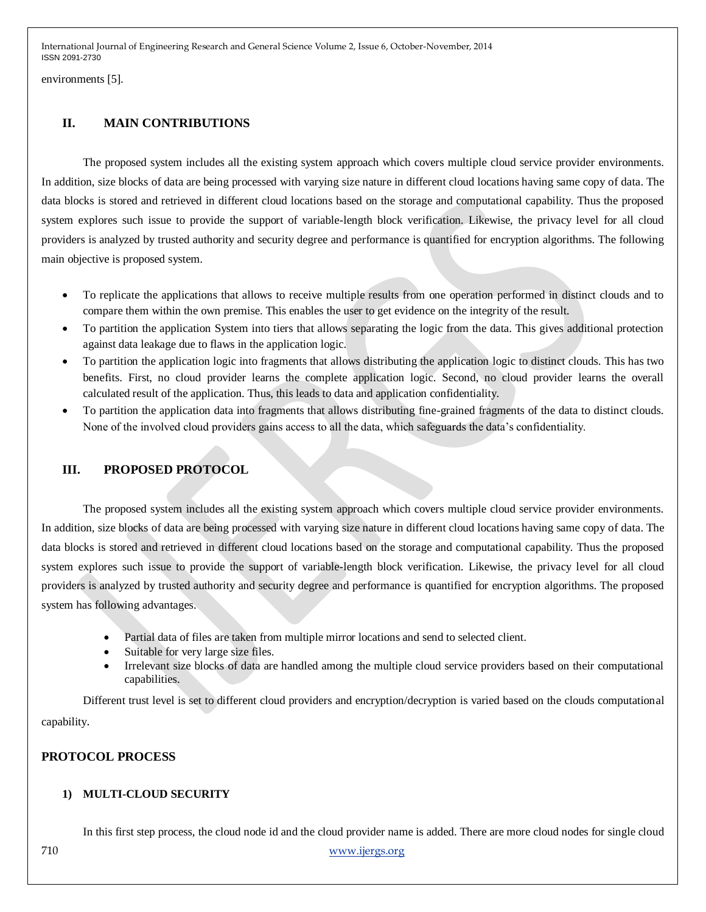environments [5].

# **II. MAIN CONTRIBUTIONS**

The proposed system includes all the existing system approach which covers multiple cloud service provider environments. In addition, size blocks of data are being processed with varying size nature in different cloud locations having same copy of data. The data blocks is stored and retrieved in different cloud locations based on the storage and computational capability. Thus the proposed system explores such issue to provide the support of variable-length block verification. Likewise, the privacy level for all cloud providers is analyzed by trusted authority and security degree and performance is quantified for encryption algorithms. The following main objective is proposed system.

- To replicate the applications that allows to receive multiple results from one operation performed in distinct clouds and to compare them within the own premise. This enables the user to get evidence on the integrity of the result.
- To partition the application System into tiers that allows separating the logic from the data. This gives additional protection against data leakage due to flaws in the application logic.
- To partition the application logic into fragments that allows distributing the application logic to distinct clouds. This has two benefits. First, no cloud provider learns the complete application logic. Second, no cloud provider learns the overall calculated result of the application. Thus, this leads to data and application confidentiality.
- To partition the application data into fragments that allows distributing fine-grained fragments of the data to distinct clouds. None of the involved cloud providers gains access to all the data, which safeguards the data's confidentiality.

# **III. PROPOSED PROTOCOL**

The proposed system includes all the existing system approach which covers multiple cloud service provider environments. In addition, size blocks of data are being processed with varying size nature in different cloud locations having same copy of data. The data blocks is stored and retrieved in different cloud locations based on the storage and computational capability. Thus the proposed system explores such issue to provide the support of variable-length block verification. Likewise, the privacy level for all cloud providers is analyzed by trusted authority and security degree and performance is quantified for encryption algorithms. The proposed system has following advantages.

- Partial data of files are taken from multiple mirror locations and send to selected client.
- Suitable for very large size files.
- Irrelevant size blocks of data are handled among the multiple cloud service providers based on their computational capabilities.

Different trust level is set to different cloud providers and encryption/decryption is varied based on the clouds computational capability.

## **PROTOCOL PROCESS**

## **1) MULTI-CLOUD SECURITY**

In this first step process, the cloud node id and the cloud provider name is added. There are more cloud nodes for single cloud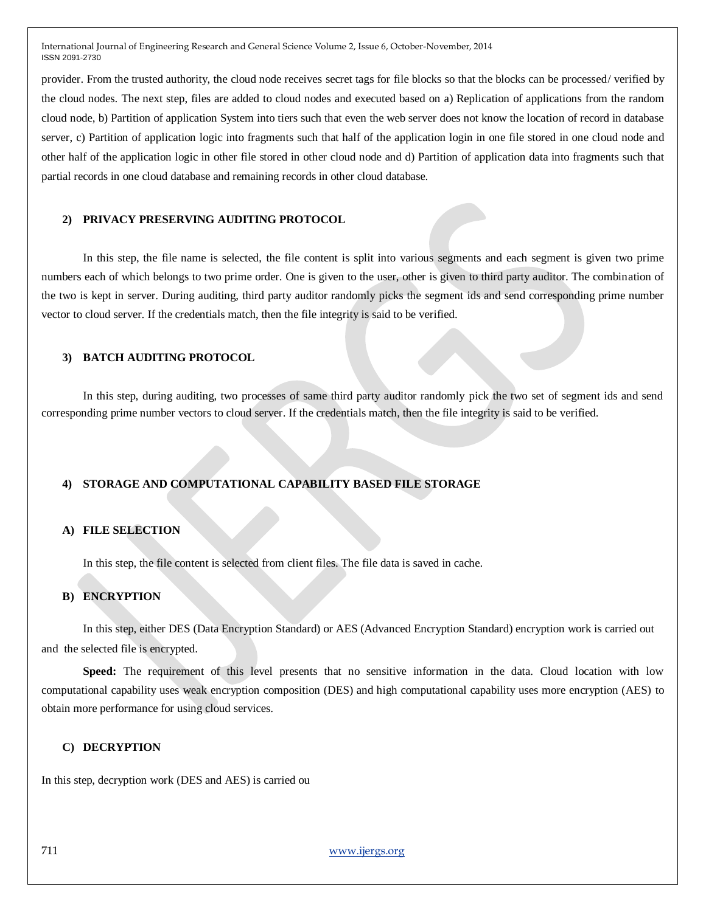provider. From the trusted authority, the cloud node receives secret tags for file blocks so that the blocks can be processed/ verified by the cloud nodes. The next step, files are added to cloud nodes and executed based on a) Replication of applications from the random cloud node, b) Partition of application System into tiers such that even the web server does not know the location of record in database server, c) Partition of application logic into fragments such that half of the application login in one file stored in one cloud node and other half of the application logic in other file stored in other cloud node and d) Partition of application data into fragments such that partial records in one cloud database and remaining records in other cloud database.

#### **2) PRIVACY PRESERVING AUDITING PROTOCOL**

In this step, the file name is selected, the file content is split into various segments and each segment is given two prime numbers each of which belongs to two prime order. One is given to the user, other is given to third party auditor. The combination of the two is kept in server. During auditing, third party auditor randomly picks the segment ids and send corresponding prime number vector to cloud server. If the credentials match, then the file integrity is said to be verified.

#### **3) BATCH AUDITING PROTOCOL**

In this step, during auditing, two processes of same third party auditor randomly pick the two set of segment ids and send corresponding prime number vectors to cloud server. If the credentials match, then the file integrity is said to be verified.

## **4) STORAGE AND COMPUTATIONAL CAPABILITY BASED FILE STORAGE**

#### **A) FILE SELECTION**

In this step, the file content is selected from client files. The file data is saved in cache.

#### **B) ENCRYPTION**

In this step, either DES (Data Encryption Standard) or AES (Advanced Encryption Standard) encryption work is carried out and the selected file is encrypted.

**Speed:** The requirement of this level presents that no sensitive information in the data. Cloud location with low computational capability uses weak encryption composition (DES) and high computational capability uses more encryption (AES) to obtain more performance for using cloud services.

#### **C) DECRYPTION**

In this step, decryption work (DES and AES) is carried ou

711 www.ijergs.org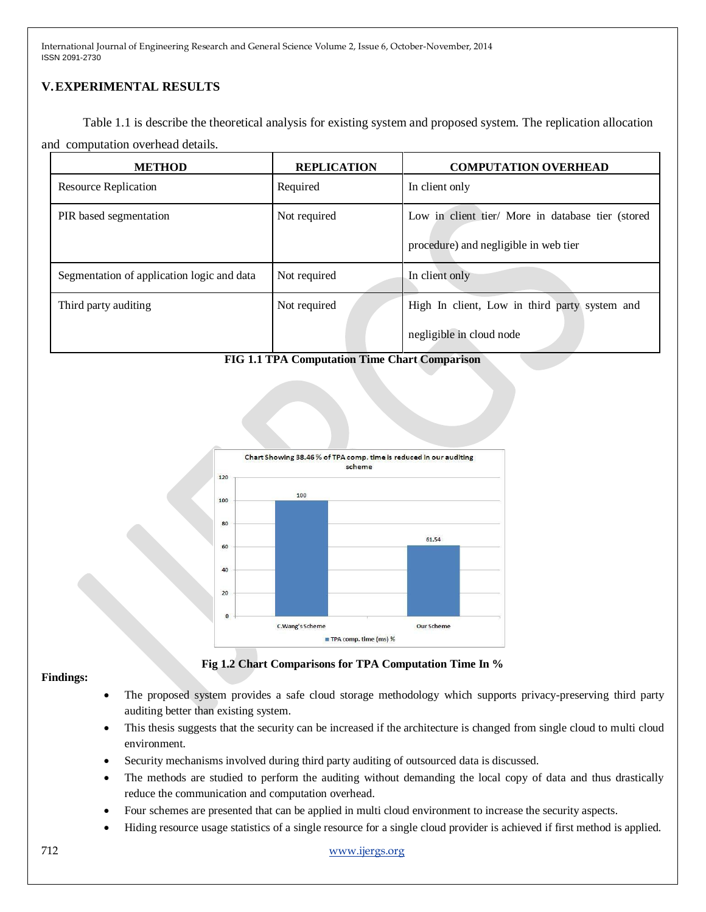# **V.EXPERIMENTAL RESULTS**

Table 1.1 is describe the theoretical analysis for existing system and proposed system. The replication allocation and computation overhead details.

| <b>METHOD</b>                              | <b>REPLICATION</b> | <b>COMPUTATION OVERHEAD</b>                                                                |
|--------------------------------------------|--------------------|--------------------------------------------------------------------------------------------|
| Resource Replication                       | Required           | In client only                                                                             |
| PIR based segmentation                     | Not required       | Low in client tier/ More in database tier (stored<br>procedure) and negligible in web tier |
| Segmentation of application logic and data | Not required       | In client only                                                                             |
| Third party auditing                       | Not required       | High In client, Low in third party system and<br>negligible in cloud node                  |

**FIG 1.1 TPA Computation Time Chart Comparison**



## **Findings:**

**Fig 1.2 Chart Comparisons for TPA Computation Time In %**

- The proposed system provides a safe cloud storage methodology which supports privacy-preserving third party auditing better than existing system.
- This thesis suggests that the security can be increased if the architecture is changed from single cloud to multi cloud environment.
- Security mechanisms involved during third party auditing of outsourced data is discussed.
- The methods are studied to perform the auditing without demanding the local copy of data and thus drastically reduce the communication and computation overhead.
- Four schemes are presented that can be applied in multi cloud environment to increase the security aspects.
- Hiding resource usage statistics of a single resource for a single cloud provider is achieved if first method is applied.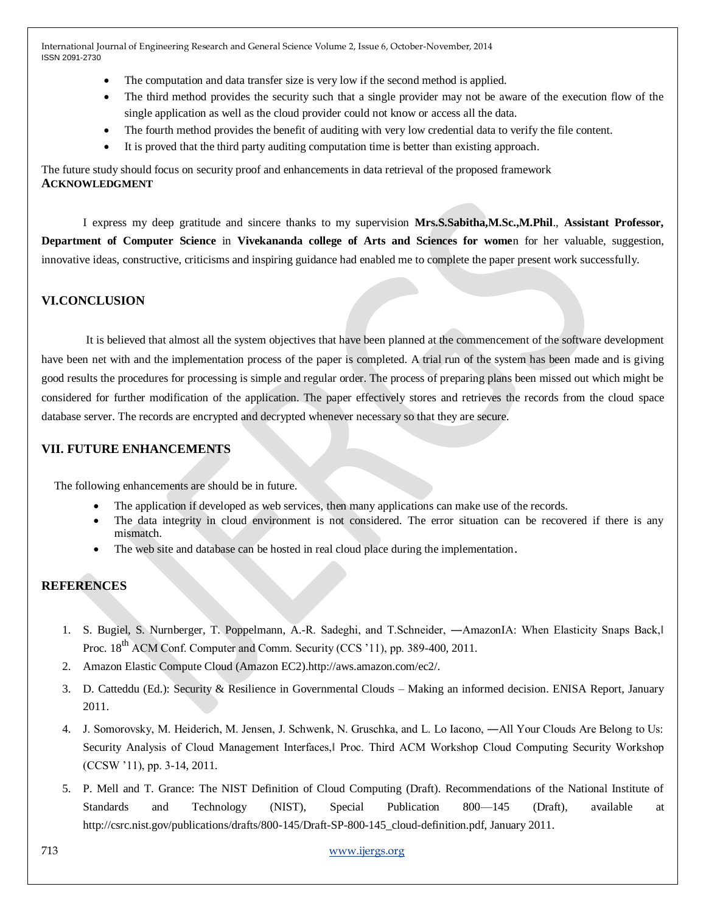- The computation and data transfer size is very low if the second method is applied.
- The third method provides the security such that a single provider may not be aware of the execution flow of the single application as well as the cloud provider could not know or access all the data.
- The fourth method provides the benefit of auditing with very low credential data to verify the file content.
- It is proved that the third party auditing computation time is better than existing approach.

The future study should focus on security proof and enhancements in data retrieval of the proposed framework **ACKNOWLEDGMENT**

I express my deep gratitude and sincere thanks to my supervision **Mrs.S.Sabitha,M.Sc.,M.Phil**., **Assistant Professor, Department of Computer Science** in **Vivekananda college of Arts and Sciences for wome**n for her valuable, suggestion, innovative ideas, constructive, criticisms and inspiring guidance had enabled me to complete the paper present work successfully.

## **VI.CONCLUSION**

It is believed that almost all the system objectives that have been planned at the commencement of the software development have been net with and the implementation process of the paper is completed. A trial run of the system has been made and is giving good results the procedures for processing is simple and regular order. The process of preparing plans been missed out which might be considered for further modification of the application. The paper effectively stores and retrieves the records from the cloud space database server. The records are encrypted and decrypted whenever necessary so that they are secure.

## **VII. FUTURE ENHANCEMENTS**

The following enhancements are should be in future.

- The application if developed as web services, then many applications can make use of the records.
- The data integrity in cloud environment is not considered. The error situation can be recovered if there is any mismatch.
- The web site and database can be hosted in real cloud place during the implementation.

## **REFERENCES**

- 1. S. Bugiel, S. Nurnberger, T. Poppelmann, A.-R. Sadeghi, and T.Schneider, —AmazonIA: When Elasticity Snaps Back, Proc. 18<sup>th</sup> ACM Conf. Computer and Comm. Security (CCS '11), pp. 389-400, 2011.
- 2. Amazon Elastic Compute Cloud (Amazon EC2).http://aws.amazon.com/ec2/.
- 3. D. Catteddu (Ed.): Security & Resilience in Governmental Clouds Making an informed decision. ENISA Report, January 2011.
- 4. J. Somorovsky, M. Heiderich, M. Jensen, J. Schwenk, N. Gruschka, and L. Lo Iacono, ―All Your Clouds Are Belong to Us: Security Analysis of Cloud Management Interfaces, Proc. Third ACM Workshop Cloud Computing Security Workshop (CCSW '11), pp. 3-14, 2011.
- 5. P. Mell and T. Grance: The NIST Definition of Cloud Computing (Draft). Recommendations of the National Institute of Standards and Technology (NIST), Special Publication 800—145 (Draft), available at http://csrc.nist.gov/publications/drafts/800-145/Draft-SP-800-145\_cloud-definition.pdf, January 2011.